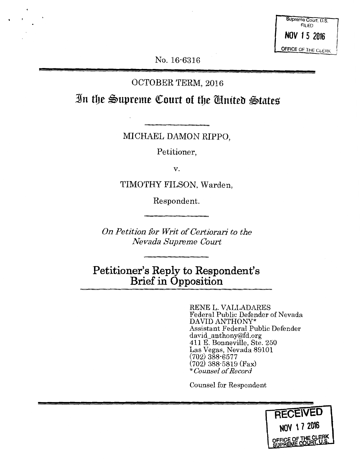Supreme Court. U.S. FILED **NOV 15 2016**  OFFICE OF THE CLERK

No. 16-6316

# OCTOBER TERM, 2016

In the Supreme Court of the *Chuited* States

MICHAEL DAMON RIPPO,

Petitioner,

V.

TIMOTHY FILSON, Warden,

Respondent.

*On Petition for Writ of Certiorari to the Nevada Supreme Court* 

**Petitioner's Reply to Respondent's Brief in Opposition** 

> RENE L. VALLADARES Federal Public Defender of Nevada DAVID ANTHONY\* Assistant Federal Public Defender david\_anthony@fd.org 411 E. Bonneville, Ste. 250 Las Vegas, Nevada 89101 (702) 388-6577 (702) 388-5819 (Fax) \* *Counsel of Record*

Counsel for Respondent

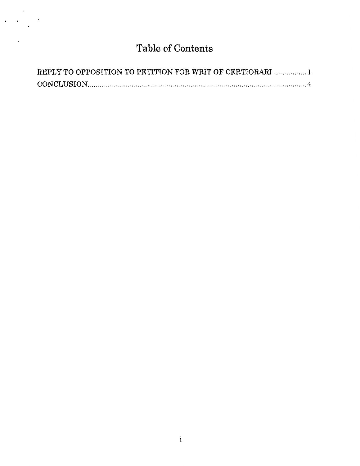# **Table of Contents**

| REPLY TO OPPOSITION TO PETITION FOR WRIT OF CERTIORARI  1 |  |
|-----------------------------------------------------------|--|
|                                                           |  |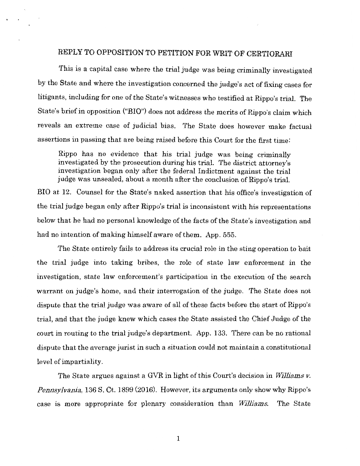## REPLY TO OPPOSITION TO PETITION FOR WRIT OF CERTIORARI

This is a capital case where the trial judge was being criminally investigated by the State and where the investigation concerned the judge's act of fixing cases for litigants, including for one of the State's witnesses who testified at Rippo's trial. The State's brief in opposition ("BIO") does not address the merits of Rippo's claim which reveals an extreme case of judicial bias. The State does however make factual assertions in passing that are being raised before this Court for the first time:

Rippo has no evidence that his trial judge was being criminally investigated by the prosecution during his trial. The district attorney's investigation began only after the federal Indictment against the trial judge was unsealed, about a month after the conclusion of Rippo's trial.

BIO at 12. Counsel for the State's naked assertion that his office's investigation of the trial judge began only after Rippo's trial is inconsistent with his representations below that he had no personal knowledge of the facts of the State's investigation and had no intention of making himself aware of them. App. 555.

The State entirely fails to address its crucial role in the sting operation to bait the trial judge into taking bribes, the role of state law enforcement in the investigation, state law enforcement's participation in the execution of the search warrant on judge's home, and their interrogation of the judge. The State does not dispute that the trial judge was aware of all of these facts before the start of Rippo's trial, and that the judge knew which cases the State assisted the Chief Judge of the court in routing to the trial judge's department. App. 133. There can be no rational dispute that the average jurist in such a situation could not maintain a constitutional level of impartiality.

The State argues against a GVR in light of this Court's decision in *Williams v. Pennsylvam·a,* 136 S. Ct. 1899 (2016). However, its arguments only show why Rippo's case is more appropriate for plenary consideration than *Williams.* The State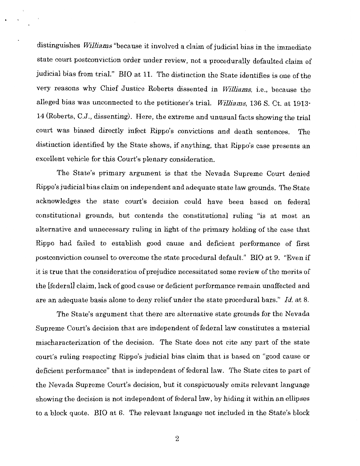distinguishes *Williams* "because it involved a claim of judicial bias in the immediate state court postconviction order under review, not a procedurally defaulted claim of judicial bias from trial." BIO at 11. The distinction the State identifies is one of the very reasons why Chief Justice Roberts dissented in *Williams,* i.e., because the alleged bias was unconnected to the petitioner's trial. *Williams,* 136 S. Ct. at 1913· 14 (Roberts, C.J., dissenting). Here, the extreme and unusual facts showing the trial court was biased directly infect Rippo's convictions and death sentences. The distinction identified by the State shows, if anything, that Rippo's case presents an excellent vehicle for this Court's plenary consideration.

The State's primary argument is that the Nevada Supreme Court denied Rippo's judicial bias claim on independent and adequate state law grounds. The State acknowledges the state court's decision could have been based on federal constitutional grounds, but contends the constitutional ruling "is at most an alternative and unnecessary ruling in light of the primary holding of the case that Rippo had failed to establish good cause and deficient performance of first postconviction counsel to overcome the state procedural default." BIO at 9. "Even if it is true that the consideration of prejudice necessitated some review of the merits of the [federal] claim, lack of good cause or deficient performance remain unaffected and are an adequate basis alone to deny relief under the state procedural bars." *Id.* at 8.

The State's argument that there are alternative state grounds for the Nevada Supreme Court's decision that are independent of federal law constitutes a material mischaracterization of the decision. The State does not cite any part of the state court's ruling respecting Rippo's judicial bias claim that is based on "good cause or deficient performance" that is independent of federal law. The State cites to part of the Nevada Supreme Court's decision, but it conspicuously omits relevant language showing the decision is not independent of federal law, by hiding it within an ellipses to a block quote. BIO at 6. The relevant language not included in the State's block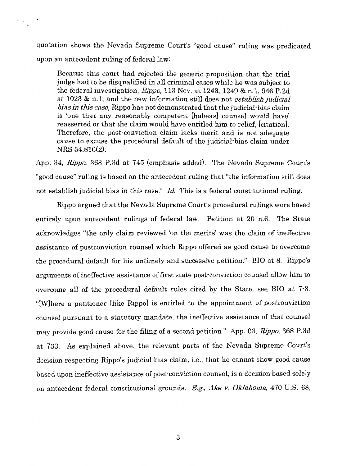quotation shows the Nevada Supreme Court's "good cause" ruling was predicated upon an antecedent ruling of federal law:

Because this court had rejected the generic proposition that the trial judge had to be disqualified in all criminal cases while he was subject to the federal investigation, Rippo, 113 Nev. at 1248, 1249 & n.1, 946 P.2d at 1023 & n.1, and the new information still does not *establish judicial bias in this case,* Rippo has not demonstrated that the judicial· bias claim is 'one that any reasonably competent [habeas] counsel would have' reasserted or that the claim would have entitled him to relief, [citation]. Therefore, the post-conviction claim lacks merit and is not adequate cause to excuse the procedural default of the judicial-bias claim under NRS 34.810(2).

App. 34, Rippo, 368 P.3d at 745 (emphasis added). The Nevada Supreme Court's "good cause" ruling is based on the antecedent ruling that "the information still does not establish judicial bias in this case." *Id.* This is a federal constitutional ruling.

Rippo argued that the Nevada Supreme Court's procedural rulings were based entirely upon antecedent rulings of federal law. Petition at 20 n.6. The State acknowledges "the only claim reviewed 'on the merits' was the claim of ineffective assistance of postconviction counsel which Rippo offered as good cause to overcome the procedural default for his untimely and successive petition." BIO at 8. Rippo's arguments of ineffective assistance of first state post-conviction counsel allow him to overcome all of the procedural default rules cited by the State, see BIO at 7·8. "[W]here a petitioner [like Rippo] is entitled to the appointment of postconviction counsel pursuant to a statutory mandate, the ineffective assistance of that counsel may provide good cause for the filing of a second petition." App. 03, Rippo, 368 P.3d at 733. As explained above, the relevant parts of the Nevada Supreme Court's decision respecting Rippo's judicial bias claim, i.e., that he cannot show good cause based upon ineffective assistance of post-conviction counsel, is a decision based solely on antecedent federal constitutional grounds. *E.g., Ake v. Oklahoma,* 470 U.S. 68,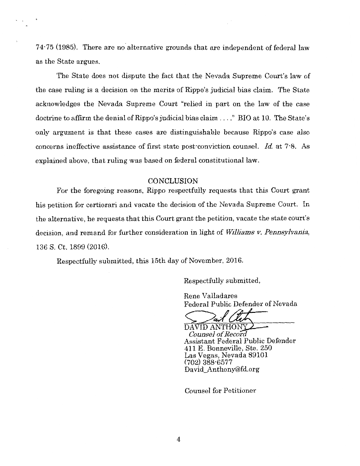$74.75$  (1985). There are no alternative grounds that are independent of federal law as the State argues.

The State does not dispute the fact that the Nevada Supreme Court's law of the case ruling is a decision on the merits of Rippo's judicial bias claim. The State acknowledges the Nevada Supreme Court "relied in part on the law of the case doctrine to affirm the denial of Rippo's judicial bias claim  $\dots$ ." BIO at 10. The State's only argument is that these cases are distinguishable because Rippo's case also concerns ineffective assistance of first state post-conviction counsel. *Id.* at 7·8. As explained above, that ruling was based on federal constitutional law.

#### **CONCLUSION**

For the foregoing reasons, Rippo respectfully requests that this Court grant his petition for certiorari and vacate the decision of the Nevada Supreme Court. In the alternative, he requests that this Court grant the petition, vacate the state court's decision, and remand for further consideration in light of *Williams v. Pennsylvania,*  136 S. Ct. 1899 (2016).

Respectfully submitted, this 15th day of November, 2016.

Respectfully submitted,

Rene Valladares Federal Public Defender of Nevada

DAVID ANTHONY *Counsel of Record*  Assistant Federal Public Defender 411 E. Bonneville, Ste. 250 Las Vegas, Nevada 89101 (702) 388-6577 David\_Anthony@fd.org

Counsel for Petitioner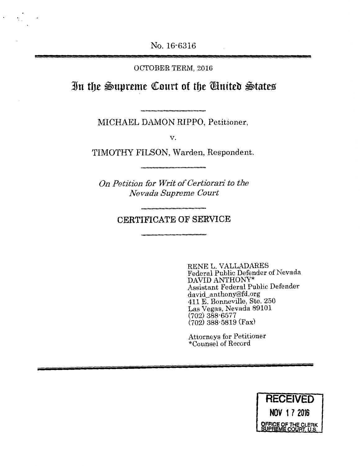No. 16-6316

### OCTOBER TERM, 2016

**]n tbe \$,Upreme Qeourt of tbe Wniteb \$)tates** 

MICHAEL DAMON RIPPO, Petitioner,

v.

TIMOTHY FILSON, Warden, Respondent.

*On Petition for Writ of Certiorari to the Nevada Supreme Court* 

# **CERTIFICATE OF SERVICE**

RENE L. VALLADARES Federal Public Defender of Nevada DAVID ANTHONY\* Assistant Federal Public Defender david\_anthony@fd.org 411 E. Bonneville, Ste. 250 Las Vegas, Nevada 89101 (702) 388·6577 (702) 388·5819 (Fax)

Attorneys for Petitioner \*Counsel of Record